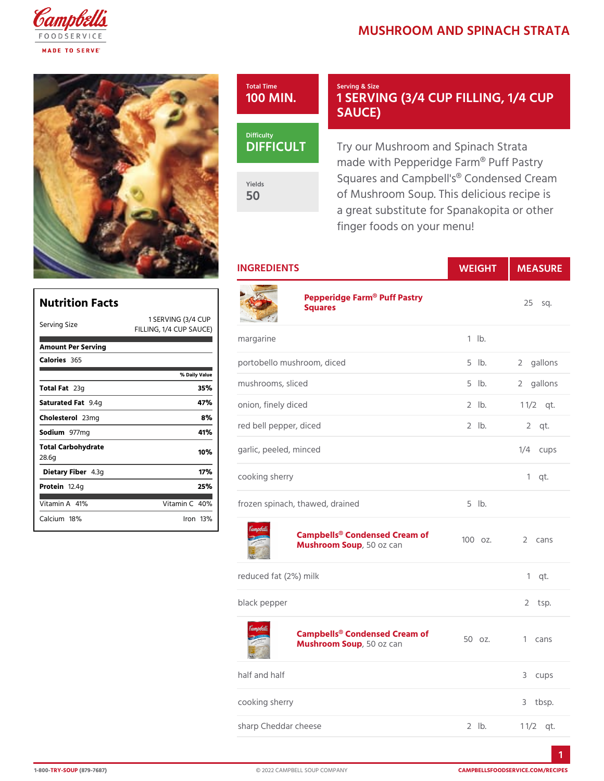# MUSHROOM AND SPINACH

#### Total Time 100 MIN.

### Serving & Size 1 SERVING (3/4 CUP FIL SAUCE)

DIFFICU

Yields 50

Try our Mushroom and Spinach made with Pepperidge Farm® Pu Squares and Campbell's® Conde of Mushroom Soup. This delicio a great substitute for Spanakop finger foods on your menu!

INGREDIENTS WEIGH MEASURE

| Nutrition Facts             |                           | Pepperidge Farm® Puff Pastry<br>Squares              |            | $25$ sq.        |
|-----------------------------|---------------------------|------------------------------------------------------|------------|-----------------|
| Serving Size                | 1 SERVING (B/4 CUP        |                                                      |            |                 |
|                             | FILLING, $1/4$ CUP SAUCE) | margarine                                            | $1$ $1b$ . |                 |
| Amount Per Serving          |                           |                                                      |            |                 |
| Calorie365                  |                           | portobello mushroom, diced                           | $5$ $1b$ . | 2 gallons       |
|                             | % Daily Value             |                                                      |            |                 |
| Total F <sub>23g</sub>      | 35%                       | mushrooms, sliced                                    | $5$ $1b$ . | 2 gallons       |
| Saturated 9F. 4 tg          | 47%                       | onion, finely diced                                  | $2$ $1b$ . | $1 \frac{1}{2}$ |
| Choleste 26 mg              | 8%                        |                                                      |            |                 |
| Sodium977mg                 | 41%                       | red bell pepper, diced                               | $2$ $1b$ . | $2$ qt.         |
| Total Carbohydrate<br>28.6g | 10%                       | garlic, peeled, minced                               |            | $1/4$ cups      |
| Dietary F4ib3eg             | 17%                       | cooking sherry                                       |            | $1$ qt.         |
| Proteifi2.4g                | 25%                       |                                                      |            |                 |
| Vitamin4A%                  | Vitamin40%                | frozen spinach, thawed, drained                      | $5$ $1b$ . |                 |
|                             |                           | Campbells® Condensed Creamon<br>Mushroom S50poz can  |            | 2 cans          |
|                             |                           | reduced fat (2%) milk                                |            | $1$ qt.         |
|                             |                           | black pepper                                         |            | $2$ tsp.        |
|                             |                           | Campbells® Condensed Cream of<br>Mushroom S50poz can |            | 1 cans          |
|                             |                           | half and half                                        |            | 3 cups          |
|                             |                           | cooking sherry                                       |            | 3 tbsp.         |
|                             |                           | sharp Cheddar cheese                                 | $2$ $1b$ . | $1 \t1/2qt.$    |
|                             |                           |                                                      |            |                 |